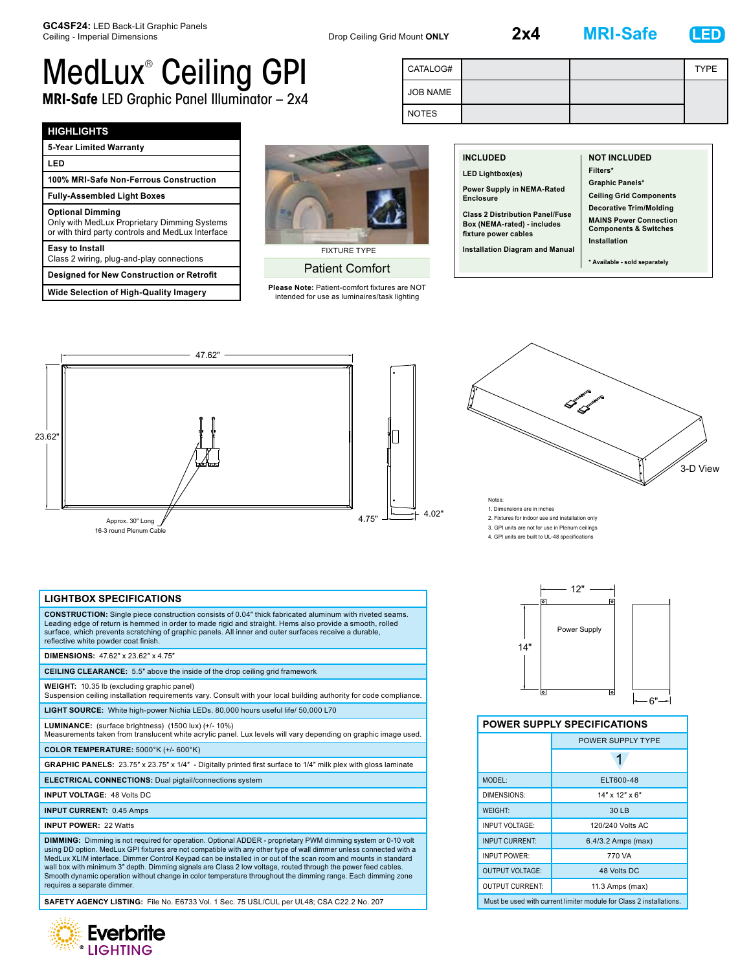**2x4 MRI-Safe LED**



# MedLux® Ceiling GPI **MRI-Safe** LED Graphic Panel Illuminator – 2x4

| CATALOG#        |  | <b>TYPE</b> |
|-----------------|--|-------------|
| <b>JOB NAME</b> |  |             |
| <b>NOTES</b>    |  |             |

#### **HIGHLIGHTS**

| 5-Year Limited Warranty                                                                                                      |  |
|------------------------------------------------------------------------------------------------------------------------------|--|
| LED                                                                                                                          |  |
| 100% MRI-Safe Non-Ferrous Construction                                                                                       |  |
| <b>Fully-Assembled Light Boxes</b>                                                                                           |  |
| <b>Optional Dimming</b><br>Only with MedLux Proprietary Dimming Systems<br>or with third party controls and MedLux Interface |  |
| <b>Easy to Install</b><br>Class 2 wiring, plug-and-play connections                                                          |  |
| <b>Desianed for New Construction or Retrofit</b>                                                                             |  |
| <b>Wide Selection of High-Quality Imagery</b>                                                                                |  |



# Patient Comfort

**Please Note:** Patient-comfort fixtures are NOT intended for use as luminaires/task lighting

| <b>INCLUDED</b>                                                                               | <b>NOT INCLUDED</b>                                                                                                 |
|-----------------------------------------------------------------------------------------------|---------------------------------------------------------------------------------------------------------------------|
| <b>LED Lightbox(es)</b><br>Power Supply in NEMA-Rated<br><b>Enclosure</b>                     | Filters*<br><b>Graphic Panels*</b><br><b>Ceiling Grid Components</b>                                                |
| <b>Class 2 Distribution Panel/Fuse</b><br>Box (NEMA-rated) - includes<br>fixture power cables | <b>Decorative Trim/Molding</b><br><b>MAINS Power Connection</b><br><b>Components &amp; Switches</b><br>Installation |
| <b>Installation Diagram and Manual</b>                                                        | * Available - sold separately                                                                                       |





1. Dimensions are in inches

2. Fixtures for indoor use and installation only

3. GPI units are not for use in Plenum ceilings

4. GPI units are built to UL-48 specifications

# **LIGHTBOX SPECIFICATIONS**

**CONSTRUCTION:** Single piece construction consists of 0.04″ thick fabricated aluminum with riveted seams. Leading edge of return is hemmed in order to made rigid and straight. Hems also provide a smooth, rolled surface, which prevents scratching of graphic panels. All inner and outer surfaces receive a durable, reflective white powder coat finish.

#### **DIMENSIONS:** 47.62″ x 23.62″ x 4.75″

**CEILING CLEARANCE:** 5.5″ above the inside of the drop ceiling grid framework

**WEIGHT:** 10.35 lb (excluding graphic panel)

Suspension ceiling installation requirements vary. Consult with your local building authority for code compliance.

**LIGHT SOURCE:** White high-power Nichia LEDs. 80,000 hours useful life/ 50,000 L70

**LUMINANCE:** (surface brightness) (1500 lux) (+/- 10%) Measurements taken from translucent white acrylic panel. Lux levels will vary depending on graphic image used.

**COLOR TEMPERATURE:** 5000°K (+/- 600°K)

**GRAPHIC PANELS:** 23.75″ x 23.75″ x 1/4″ - Digitally printed first surface to 1/4″ milk plex with gloss laminate

**ELECTRICAL CONNECTIONS:** Dual pigtail/connections system

**INPUT VOLTAGE:** 48 Volts DC

**INPUT CURRENT:** 0.45 Amps

**INPUT POWER:** 22 Watts

**DIMMING:** Dimming is not required for operation. Optional ADDER - proprietary PWM dimming system or 0-10 volt using DD option. MedLux GPI fixtures are not compatible with any other type of wall dimmer unless connected with a<br>MedLux XLIM interface. Dimmer Control Keypad can be installed in or out of the scan room and mounts in stan wall box with minimum 3" depth. Dimming signals are Class 2 low voltage, routed through the power feed cables. Smooth dynamic operation without change in color temperature throughout the dimming range. Each dimming zone requires a separate dimmer.

**SAFETY AGENCY LISTING:** File No. E6733 Vol. 1 Sec. 75 USL/CUL per UL48; CSA C22.2 No. 207





### **POWER SUPPLY SPECIFICATIONS**

|                        | POWER SUPPLY TYPE                                                   |  |
|------------------------|---------------------------------------------------------------------|--|
|                        |                                                                     |  |
| MODEL:                 | ELT600-48                                                           |  |
| DIMENSIONS:            | 14" x 12" x 6"                                                      |  |
| <b>WEIGHT:</b>         | 30 LB                                                               |  |
| INPUT VOLTAGE:         | 120/240 Volts AC                                                    |  |
| <b>INPUT CURRENT:</b>  | 6.4/3.2 Amps (max)                                                  |  |
| <b>INPUT POWER:</b>    | 770 VA                                                              |  |
| <b>OUTPUT VOLTAGE:</b> | 48 Volts DC                                                         |  |
| <b>OUTPUT CURRENT:</b> | 11.3 Amps (max)                                                     |  |
|                        | Must be used with current limiter module for Class 2 installations. |  |